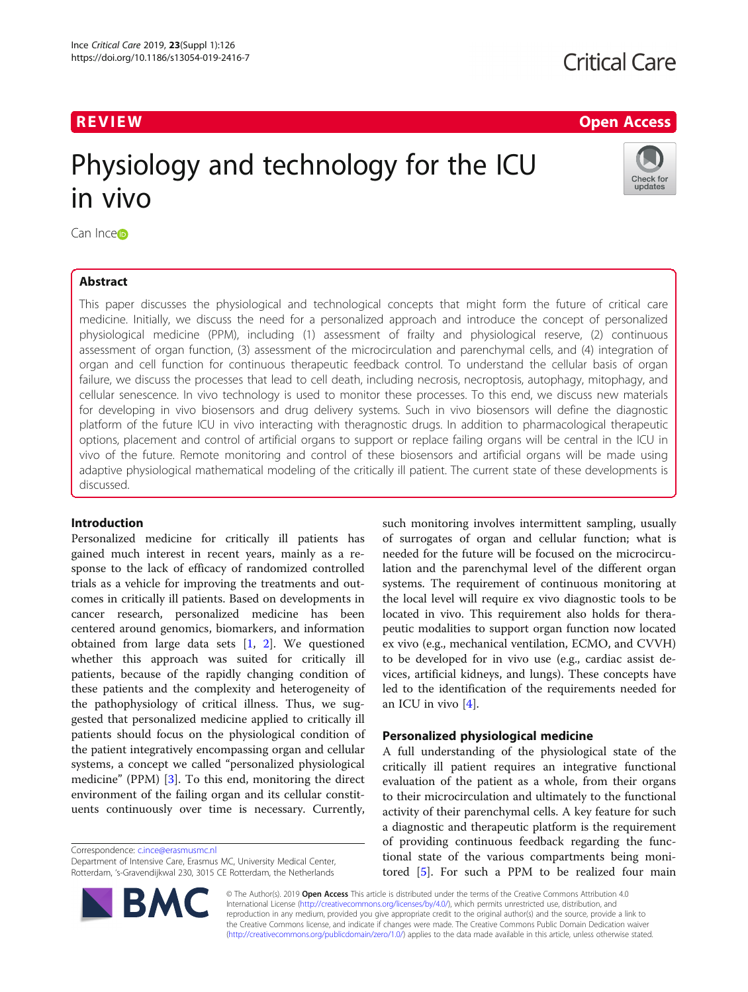## **Critical Care**

## R EVI EW Open Access

# Physiology and technology for the ICU in vivo



Can Inc[e](http://orcid.org/0000-0002-8298-0270)<sup>b</sup>

## Abstract

This paper discusses the physiological and technological concepts that might form the future of critical care medicine. Initially, we discuss the need for a personalized approach and introduce the concept of personalized physiological medicine (PPM), including (1) assessment of frailty and physiological reserve, (2) continuous assessment of organ function, (3) assessment of the microcirculation and parenchymal cells, and (4) integration of organ and cell function for continuous therapeutic feedback control. To understand the cellular basis of organ failure, we discuss the processes that lead to cell death, including necrosis, necroptosis, autophagy, mitophagy, and cellular senescence. In vivo technology is used to monitor these processes. To this end, we discuss new materials for developing in vivo biosensors and drug delivery systems. Such in vivo biosensors will define the diagnostic platform of the future ICU in vivo interacting with theragnostic drugs. In addition to pharmacological therapeutic options, placement and control of artificial organs to support or replace failing organs will be central in the ICU in vivo of the future. Remote monitoring and control of these biosensors and artificial organs will be made using adaptive physiological mathematical modeling of the critically ill patient. The current state of these developments is discussed.

## Introduction

Personalized medicine for critically ill patients has gained much interest in recent years, mainly as a response to the lack of efficacy of randomized controlled trials as a vehicle for improving the treatments and outcomes in critically ill patients. Based on developments in cancer research, personalized medicine has been centered around genomics, biomarkers, and information obtained from large data sets [[1,](#page-4-0) [2\]](#page-4-0). We questioned whether this approach was suited for critically ill patients, because of the rapidly changing condition of these patients and the complexity and heterogeneity of the pathophysiology of critical illness. Thus, we suggested that personalized medicine applied to critically ill patients should focus on the physiological condition of the patient integratively encompassing organ and cellular systems, a concept we called "personalized physiological medicine" (PPM) [[3\]](#page-4-0). To this end, monitoring the direct environment of the failing organ and its cellular constituents continuously over time is necessary. Currently,

Correspondence: [c.ince@erasmusmc.nl](mailto:c.ince@erasmusmc.nl)

Department of Intensive Care, Erasmus MC, University Medical Center, Rotterdam, 's-Gravendijkwal 230, 3015 CE Rotterdam, the Netherlands



such monitoring involves intermittent sampling, usually of surrogates of organ and cellular function; what is needed for the future will be focused on the microcirculation and the parenchymal level of the different organ systems. The requirement of continuous monitoring at the local level will require ex vivo diagnostic tools to be located in vivo. This requirement also holds for therapeutic modalities to support organ function now located ex vivo (e.g., mechanical ventilation, ECMO, and CVVH) to be developed for in vivo use (e.g., cardiac assist devices, artificial kidneys, and lungs). These concepts have led to the identification of the requirements needed for an ICU in vivo [\[4](#page-4-0)].

## Personalized physiological medicine

A full understanding of the physiological state of the critically ill patient requires an integrative functional evaluation of the patient as a whole, from their organs to their microcirculation and ultimately to the functional activity of their parenchymal cells. A key feature for such a diagnostic and therapeutic platform is the requirement of providing continuous feedback regarding the functional state of the various compartments being monitored [[5\]](#page-4-0). For such a PPM to be realized four main

© The Author(s). 2019 Open Access This article is distributed under the terms of the Creative Commons Attribution 4.0 International License [\(http://creativecommons.org/licenses/by/4.0/](http://creativecommons.org/licenses/by/4.0/)), which permits unrestricted use, distribution, and reproduction in any medium, provided you give appropriate credit to the original author(s) and the source, provide a link to the Creative Commons license, and indicate if changes were made. The Creative Commons Public Domain Dedication waiver [\(http://creativecommons.org/publicdomain/zero/1.0/](http://creativecommons.org/publicdomain/zero/1.0/)) applies to the data made available in this article, unless otherwise stated.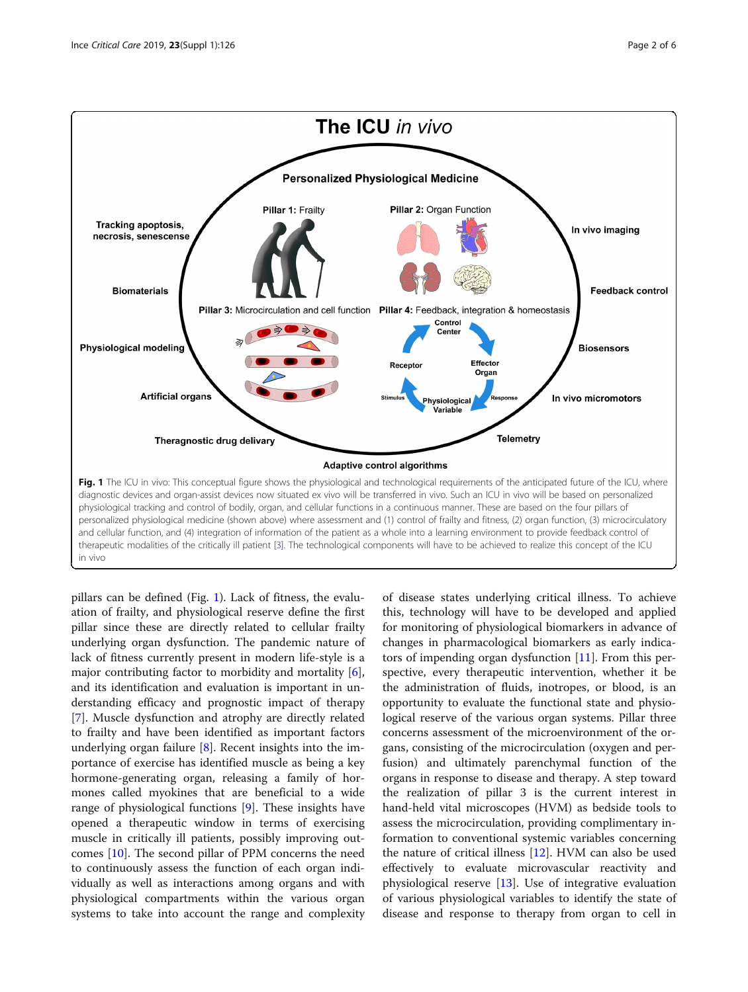<span id="page-1-0"></span>

pillars can be defined (Fig. 1). Lack of fitness, the evaluation of frailty, and physiological reserve define the first pillar since these are directly related to cellular frailty underlying organ dysfunction. The pandemic nature of lack of fitness currently present in modern life-style is a major contributing factor to morbidity and mortality [\[6](#page-4-0)], and its identification and evaluation is important in understanding efficacy and prognostic impact of therapy [[7\]](#page-4-0). Muscle dysfunction and atrophy are directly related to frailty and have been identified as important factors underlying organ failure  $[8]$  $[8]$ . Recent insights into the importance of exercise has identified muscle as being a key hormone-generating organ, releasing a family of hormones called myokines that are beneficial to a wide range of physiological functions [\[9](#page-4-0)]. These insights have opened a therapeutic window in terms of exercising muscle in critically ill patients, possibly improving outcomes [[10\]](#page-4-0). The second pillar of PPM concerns the need to continuously assess the function of each organ individually as well as interactions among organs and with physiological compartments within the various organ systems to take into account the range and complexity

of disease states underlying critical illness. To achieve this, technology will have to be developed and applied for monitoring of physiological biomarkers in advance of changes in pharmacological biomarkers as early indicators of impending organ dysfunction  $[11]$ . From this perspective, every therapeutic intervention, whether it be the administration of fluids, inotropes, or blood, is an opportunity to evaluate the functional state and physiological reserve of the various organ systems. Pillar three concerns assessment of the microenvironment of the organs, consisting of the microcirculation (oxygen and perfusion) and ultimately parenchymal function of the organs in response to disease and therapy. A step toward the realization of pillar 3 is the current interest in hand-held vital microscopes (HVM) as bedside tools to assess the microcirculation, providing complimentary information to conventional systemic variables concerning the nature of critical illness  $[12]$  $[12]$ . HVM can also be used effectively to evaluate microvascular reactivity and physiological reserve [\[13](#page-4-0)]. Use of integrative evaluation of various physiological variables to identify the state of disease and response to therapy from organ to cell in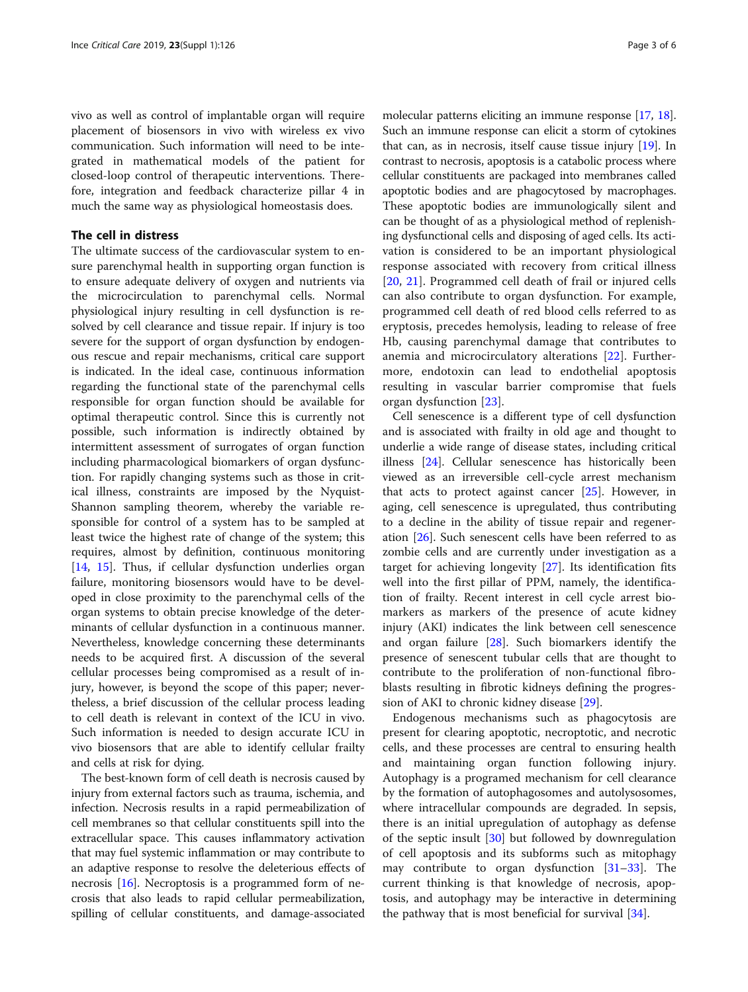vivo as well as control of implantable organ will require placement of biosensors in vivo with wireless ex vivo communication. Such information will need to be integrated in mathematical models of the patient for closed-loop control of therapeutic interventions. Therefore, integration and feedback characterize pillar 4 in much the same way as physiological homeostasis does.

## The cell in distress

The ultimate success of the cardiovascular system to ensure parenchymal health in supporting organ function is to ensure adequate delivery of oxygen and nutrients via the microcirculation to parenchymal cells. Normal physiological injury resulting in cell dysfunction is resolved by cell clearance and tissue repair. If injury is too severe for the support of organ dysfunction by endogenous rescue and repair mechanisms, critical care support is indicated. In the ideal case, continuous information regarding the functional state of the parenchymal cells responsible for organ function should be available for optimal therapeutic control. Since this is currently not possible, such information is indirectly obtained by intermittent assessment of surrogates of organ function including pharmacological biomarkers of organ dysfunction. For rapidly changing systems such as those in critical illness, constraints are imposed by the Nyquist-Shannon sampling theorem, whereby the variable responsible for control of a system has to be sampled at least twice the highest rate of change of the system; this requires, almost by definition, continuous monitoring [[14,](#page-4-0) [15\]](#page-4-0). Thus, if cellular dysfunction underlies organ failure, monitoring biosensors would have to be developed in close proximity to the parenchymal cells of the organ systems to obtain precise knowledge of the determinants of cellular dysfunction in a continuous manner. Nevertheless, knowledge concerning these determinants needs to be acquired first. A discussion of the several cellular processes being compromised as a result of injury, however, is beyond the scope of this paper; nevertheless, a brief discussion of the cellular process leading to cell death is relevant in context of the ICU in vivo. Such information is needed to design accurate ICU in vivo biosensors that are able to identify cellular frailty and cells at risk for dying.

The best-known form of cell death is necrosis caused by injury from external factors such as trauma, ischemia, and infection. Necrosis results in a rapid permeabilization of cell membranes so that cellular constituents spill into the extracellular space. This causes inflammatory activation that may fuel systemic inflammation or may contribute to an adaptive response to resolve the deleterious effects of necrosis [\[16](#page-4-0)]. Necroptosis is a programmed form of necrosis that also leads to rapid cellular permeabilization, spilling of cellular constituents, and damage-associated

molecular patterns eliciting an immune response [[17,](#page-4-0) [18](#page-4-0)]. Such an immune response can elicit a storm of cytokines that can, as in necrosis, itself cause tissue injury  $[19]$ . In contrast to necrosis, apoptosis is a catabolic process where cellular constituents are packaged into membranes called apoptotic bodies and are phagocytosed by macrophages. These apoptotic bodies are immunologically silent and can be thought of as a physiological method of replenishing dysfunctional cells and disposing of aged cells. Its activation is considered to be an important physiological response associated with recovery from critical illness [[20,](#page-5-0) [21\]](#page-5-0). Programmed cell death of frail or injured cells can also contribute to organ dysfunction. For example, programmed cell death of red blood cells referred to as eryptosis, precedes hemolysis, leading to release of free Hb, causing parenchymal damage that contributes to anemia and microcirculatory alterations [[22\]](#page-5-0). Furthermore, endotoxin can lead to endothelial apoptosis resulting in vascular barrier compromise that fuels organ dysfunction [\[23](#page-5-0)].

Cell senescence is a different type of cell dysfunction and is associated with frailty in old age and thought to underlie a wide range of disease states, including critical illness [[24\]](#page-5-0). Cellular senescence has historically been viewed as an irreversible cell-cycle arrest mechanism that acts to protect against cancer [\[25\]](#page-5-0). However, in aging, cell senescence is upregulated, thus contributing to a decline in the ability of tissue repair and regeneration [\[26\]](#page-5-0). Such senescent cells have been referred to as zombie cells and are currently under investigation as a target for achieving longevity [[27](#page-5-0)]. Its identification fits well into the first pillar of PPM, namely, the identification of frailty. Recent interest in cell cycle arrest biomarkers as markers of the presence of acute kidney injury (AKI) indicates the link between cell senescence and organ failure [\[28\]](#page-5-0). Such biomarkers identify the presence of senescent tubular cells that are thought to contribute to the proliferation of non-functional fibroblasts resulting in fibrotic kidneys defining the progression of AKI to chronic kidney disease [[29\]](#page-5-0).

Endogenous mechanisms such as phagocytosis are present for clearing apoptotic, necroptotic, and necrotic cells, and these processes are central to ensuring health and maintaining organ function following injury. Autophagy is a programed mechanism for cell clearance by the formation of autophagosomes and autolysosomes, where intracellular compounds are degraded. In sepsis, there is an initial upregulation of autophagy as defense of the septic insult  $[30]$  $[30]$  but followed by downregulation of cell apoptosis and its subforms such as mitophagy may contribute to organ dysfunction [\[31](#page-5-0)–[33\]](#page-5-0). The current thinking is that knowledge of necrosis, apoptosis, and autophagy may be interactive in determining the pathway that is most beneficial for survival [\[34](#page-5-0)].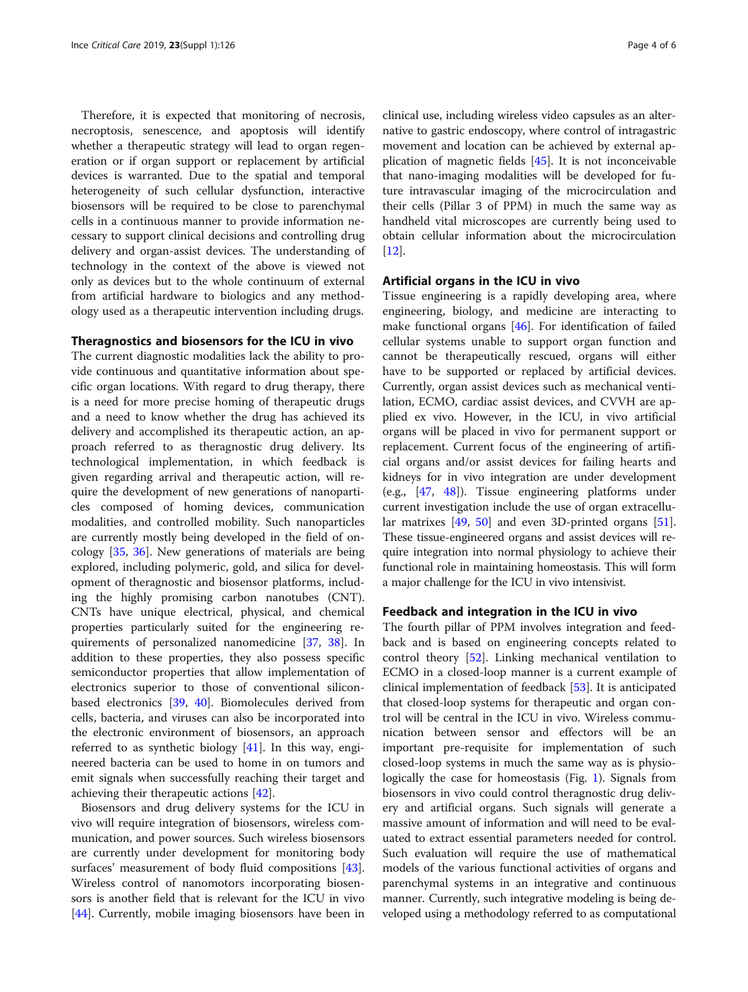Therefore, it is expected that monitoring of necrosis, necroptosis, senescence, and apoptosis will identify whether a therapeutic strategy will lead to organ regeneration or if organ support or replacement by artificial devices is warranted. Due to the spatial and temporal heterogeneity of such cellular dysfunction, interactive biosensors will be required to be close to parenchymal cells in a continuous manner to provide information necessary to support clinical decisions and controlling drug delivery and organ-assist devices. The understanding of technology in the context of the above is viewed not only as devices but to the whole continuum of external from artificial hardware to biologics and any methodology used as a therapeutic intervention including drugs.

### Theragnostics and biosensors for the ICU in vivo

The current diagnostic modalities lack the ability to provide continuous and quantitative information about specific organ locations. With regard to drug therapy, there is a need for more precise homing of therapeutic drugs and a need to know whether the drug has achieved its delivery and accomplished its therapeutic action, an approach referred to as theragnostic drug delivery. Its technological implementation, in which feedback is given regarding arrival and therapeutic action, will require the development of new generations of nanoparticles composed of homing devices, communication modalities, and controlled mobility. Such nanoparticles are currently mostly being developed in the field of oncology [\[35,](#page-5-0) [36\]](#page-5-0). New generations of materials are being explored, including polymeric, gold, and silica for development of theragnostic and biosensor platforms, including the highly promising carbon nanotubes (CNT). CNTs have unique electrical, physical, and chemical properties particularly suited for the engineering requirements of personalized nanomedicine [[37,](#page-5-0) [38](#page-5-0)]. In addition to these properties, they also possess specific semiconductor properties that allow implementation of electronics superior to those of conventional siliconbased electronics [[39,](#page-5-0) [40\]](#page-5-0). Biomolecules derived from cells, bacteria, and viruses can also be incorporated into the electronic environment of biosensors, an approach referred to as synthetic biology [\[41](#page-5-0)]. In this way, engineered bacteria can be used to home in on tumors and emit signals when successfully reaching their target and achieving their therapeutic actions [[42\]](#page-5-0).

Biosensors and drug delivery systems for the ICU in vivo will require integration of biosensors, wireless communication, and power sources. Such wireless biosensors are currently under development for monitoring body surfaces' measurement of body fluid compositions [\[43](#page-5-0)]. Wireless control of nanomotors incorporating biosensors is another field that is relevant for the ICU in vivo [[44\]](#page-5-0). Currently, mobile imaging biosensors have been in

clinical use, including wireless video capsules as an alternative to gastric endoscopy, where control of intragastric movement and location can be achieved by external application of magnetic fields [[45\]](#page-5-0). It is not inconceivable that nano-imaging modalities will be developed for future intravascular imaging of the microcirculation and their cells (Pillar 3 of PPM) in much the same way as handheld vital microscopes are currently being used to obtain cellular information about the microcirculation [[12\]](#page-4-0).

## Artificial organs in the ICU in vivo

Tissue engineering is a rapidly developing area, where engineering, biology, and medicine are interacting to make functional organs [[46\]](#page-5-0). For identification of failed cellular systems unable to support organ function and cannot be therapeutically rescued, organs will either have to be supported or replaced by artificial devices. Currently, organ assist devices such as mechanical ventilation, ECMO, cardiac assist devices, and CVVH are applied ex vivo. However, in the ICU, in vivo artificial organs will be placed in vivo for permanent support or replacement. Current focus of the engineering of artificial organs and/or assist devices for failing hearts and kidneys for in vivo integration are under development (e.g., [\[47,](#page-5-0) [48](#page-5-0)]). Tissue engineering platforms under current investigation include the use of organ extracellular matrixes [\[49](#page-5-0), [50\]](#page-5-0) and even 3D-printed organs [\[51](#page-5-0)]. These tissue-engineered organs and assist devices will require integration into normal physiology to achieve their functional role in maintaining homeostasis. This will form a major challenge for the ICU in vivo intensivist.

### Feedback and integration in the ICU in vivo

The fourth pillar of PPM involves integration and feedback and is based on engineering concepts related to control theory [[52\]](#page-5-0). Linking mechanical ventilation to ECMO in a closed-loop manner is a current example of clinical implementation of feedback [[53\]](#page-5-0). It is anticipated that closed-loop systems for therapeutic and organ control will be central in the ICU in vivo. Wireless communication between sensor and effectors will be an important pre-requisite for implementation of such closed-loop systems in much the same way as is physiologically the case for homeostasis (Fig. [1\)](#page-1-0). Signals from biosensors in vivo could control theragnostic drug delivery and artificial organs. Such signals will generate a massive amount of information and will need to be evaluated to extract essential parameters needed for control. Such evaluation will require the use of mathematical models of the various functional activities of organs and parenchymal systems in an integrative and continuous manner. Currently, such integrative modeling is being developed using a methodology referred to as computational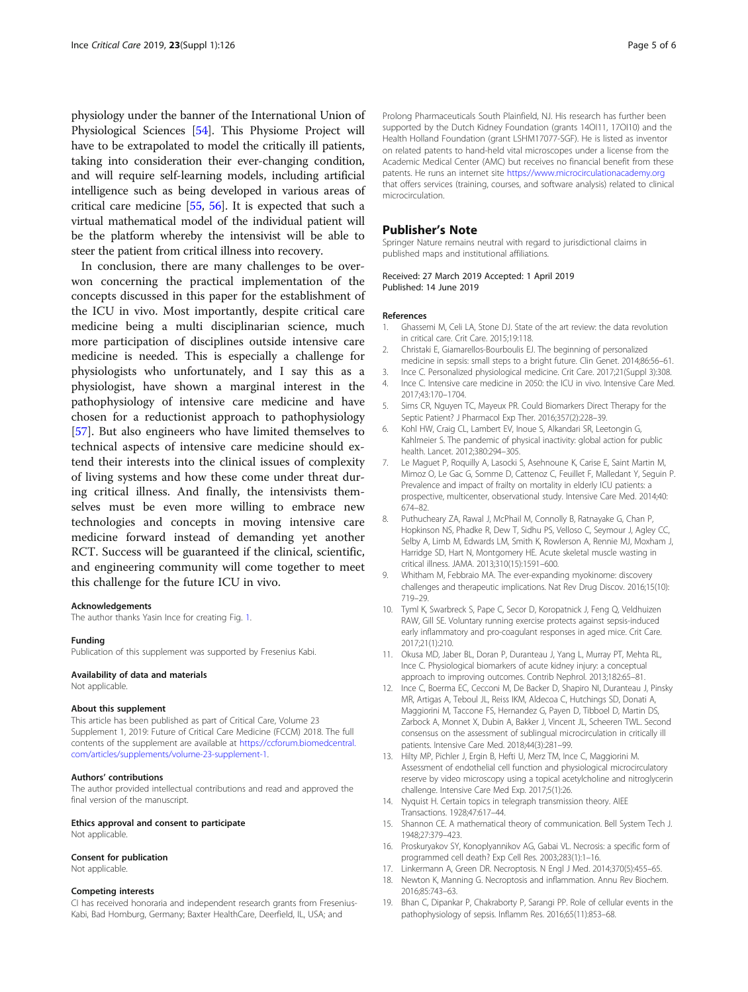<span id="page-4-0"></span>physiology under the banner of the International Union of Physiological Sciences [[54\]](#page-5-0). This Physiome Project will have to be extrapolated to model the critically ill patients, taking into consideration their ever-changing condition, and will require self-learning models, including artificial intelligence such as being developed in various areas of critical care medicine [\[55,](#page-5-0) [56](#page-5-0)]. It is expected that such a virtual mathematical model of the individual patient will be the platform whereby the intensivist will be able to steer the patient from critical illness into recovery.

In conclusion, there are many challenges to be overwon concerning the practical implementation of the concepts discussed in this paper for the establishment of the ICU in vivo. Most importantly, despite critical care medicine being a multi disciplinarian science, much more participation of disciplines outside intensive care medicine is needed. This is especially a challenge for physiologists who unfortunately, and I say this as a physiologist, have shown a marginal interest in the pathophysiology of intensive care medicine and have chosen for a reductionist approach to pathophysiology [[57\]](#page-5-0). But also engineers who have limited themselves to technical aspects of intensive care medicine should extend their interests into the clinical issues of complexity of living systems and how these come under threat during critical illness. And finally, the intensivists themselves must be even more willing to embrace new technologies and concepts in moving intensive care medicine forward instead of demanding yet another RCT. Success will be guaranteed if the clinical, scientific, and engineering community will come together to meet this challenge for the future ICU in vivo.

#### Acknowledgements

The author thanks Yasin Ince for creating Fig. [1](#page-1-0).

#### Funding

Publication of this supplement was supported by Fresenius Kabi.

#### Availability of data and materials

Not applicable.

#### About this supplement

This article has been published as part of Critical Care, Volume 23 Supplement 1, 2019: Future of Critical Care Medicine (FCCM) 2018. The full contents of the supplement are available at [https://ccforum.biomedcentral.](https://ccforum.biomedcentral.com/articles/supplements/volume-23-supplement-1) [com/articles/supplements/volume-23-supplement-1.](https://ccforum.biomedcentral.com/articles/supplements/volume-23-supplement-1)

#### Authors' contributions

The author provided intellectual contributions and read and approved the final version of the manuscript.

#### Ethics approval and consent to participate

Not applicable.

#### Consent for publication

Not applicable.

#### Competing interests

CI has received honoraria and independent research grants from Fresenius-Kabi, Bad Homburg, Germany; Baxter HealthCare, Deerfield, IL, USA; and

Prolong Pharmaceuticals South Plainfield, NJ. His research has further been supported by the Dutch Kidney Foundation (grants 14OI11, 17OI10) and the Health Holland Foundation (grant LSHM17077-SGF). He is listed as inventor on related patents to hand-held vital microscopes under a license from the Academic Medical Center (AMC) but receives no financial benefit from these patents. He runs an internet site <https://www.microcirculationacademy.org> that offers services (training, courses, and software analysis) related to clinical microcirculation.

#### Publisher's Note

Springer Nature remains neutral with regard to jurisdictional claims in published maps and institutional affiliations.

#### Received: 27 March 2019 Accepted: 1 April 2019 Published: 14 June 2019

#### References

- 1. Ghassemi M, Celi LA, Stone DJ. State of the art review: the data revolution in critical care. Crit Care. 2015;19:118.
- 2. Christaki E, Giamarellos-Bourboulis EJ. The beginning of personalized medicine in sepsis: small steps to a bright future. Clin Genet. 2014;86:56–61.
- 3. Ince C. Personalized physiological medicine. Crit Care. 2017;21(Suppl 3):308.
- 4. Ince C. Intensive care medicine in 2050: the ICU in vivo. Intensive Care Med. 2017;43:170–1704.
- 5. Sims CR, Nguyen TC, Mayeux PR. Could Biomarkers Direct Therapy for the Septic Patient? J Pharmacol Exp Ther. 2016;357(2):228–39.
- 6. Kohl HW, Craig CL, Lambert EV, Inoue S, Alkandari SR, Leetongin G, Kahlmeier S. The pandemic of physical inactivity: global action for public health. Lancet. 2012;380:294–305.
- 7. Le Maguet P, Roquilly A, Lasocki S, Asehnoune K, Carise E, Saint Martin M, Mimoz O, Le Gac G, Somme D, Cattenoz C, Feuillet F, Malledant Y, Seguin P. Prevalence and impact of frailty on mortality in elderly ICU patients: a prospective, multicenter, observational study. Intensive Care Med. 2014;40: 674–82.
- 8. Puthucheary ZA, Rawal J, McPhail M, Connolly B, Ratnayake G, Chan P, Hopkinson NS, Phadke R, Dew T, Sidhu PS, Velloso C, Seymour J, Agley CC, Selby A, Limb M, Edwards LM, Smith K, Rowlerson A, Rennie MJ, Moxham J, Harridge SD, Hart N, Montgomery HE. Acute skeletal muscle wasting in critical illness. JAMA. 2013;310(15):1591–600.
- 9. Whitham M, Febbraio MA. The ever-expanding myokinome: discovery challenges and therapeutic implications. Nat Rev Drug Discov. 2016;15(10): 719–29.
- 10. Tyml K, Swarbreck S, Pape C, Secor D, Koropatnick J, Feng Q, Veldhuizen RAW, Gill SE. Voluntary running exercise protects against sepsis-induced early inflammatory and pro-coagulant responses in aged mice. Crit Care. 2017;21(1):210.
- 11. Okusa MD, Jaber BL, Doran P, Duranteau J, Yang L, Murray PT, Mehta RL, Ince C. Physiological biomarkers of acute kidney injury: a conceptual approach to improving outcomes. Contrib Nephrol. 2013;182:65–81.
- 12. Ince C, Boerma EC, Cecconi M, De Backer D, Shapiro NI, Duranteau J, Pinsky MR, Artigas A, Teboul JL, Reiss IKM, Aldecoa C, Hutchings SD, Donati A, Maggiorini M, Taccone FS, Hernandez G, Payen D, Tibboel D, Martin DS, Zarbock A, Monnet X, Dubin A, Bakker J, Vincent JL, Scheeren TWL. Second consensus on the assessment of sublingual microcirculation in critically ill patients. Intensive Care Med. 2018;44(3):281–99.
- 13. Hilty MP, Pichler J, Ergin B, Hefti U, Merz TM, Ince C, Maggiorini M. Assessment of endothelial cell function and physiological microcirculatory reserve by video microscopy using a topical acetylcholine and nitroglycerin challenge. Intensive Care Med Exp. 2017;5(1):26.
- 14. Nyquist H. Certain topics in telegraph transmission theory. AIEE Transactions. 1928;47:617–44.
- 15. Shannon CE. A mathematical theory of communication. Bell System Tech J. 1948;27:379–423.
- 16. Proskuryakov SY, Konoplyannikov AG, Gabai VL. Necrosis: a specific form of programmed cell death? Exp Cell Res. 2003;283(1):1–16.
- 17. Linkermann A, Green DR. Necroptosis. N Engl J Med. 2014;370(5):455–65.
- 18. Newton K, Manning G. Necroptosis and inflammation. Annu Rev Biochem. 2016;85:743–63.
- 19. Bhan C, Dipankar P, Chakraborty P, Sarangi PP. Role of cellular events in the pathophysiology of sepsis. Inflamm Res. 2016;65(11):853–68.